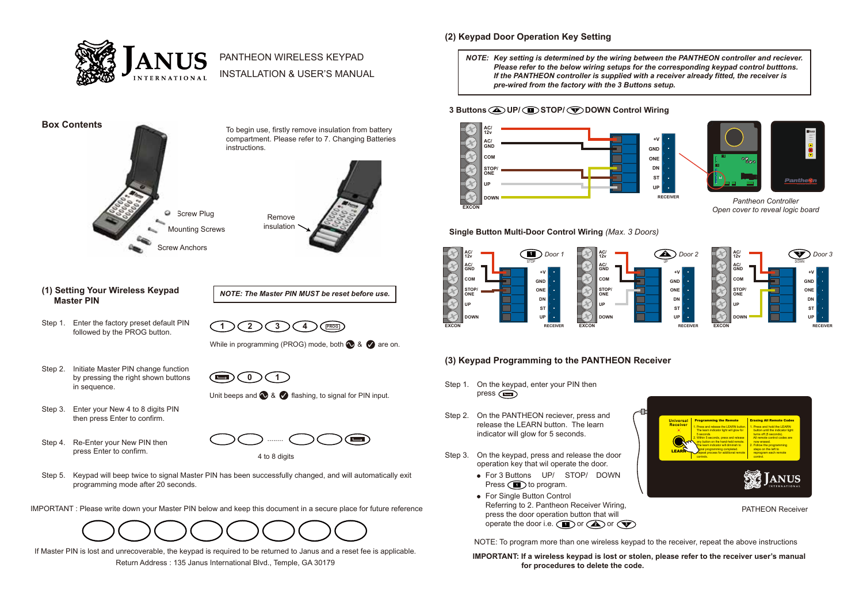

# PANTHEON WIRELESS KEYPAD

INSTALLATION & USER'S MANUAL



Remove insulation

### **(1) Setting Your Wireless Keypad Master PIN**

Step 1. Enter the factory preset default PIN followed by the PROG button.

While in programming (PROG) mode, both  $\bigcirc$  &  $\bigcirc$  are on.

**1 2 3 4 PROG**

*NOTE: The Master PIN MUST be reset before use.*

- Step 2. Initiate Master PIN change function by pressing the right shown buttons in sequence.
- **0 1** œ Unit beeps and  $\bigotimes$  &  $\bigotimes$  flashing, to signal for PIN input.
- Step 3. Enter your New 4 to 8 digits PIN then press Enter to confirm.
- Step 4. Re-Enter your New PIN then press Enter to confirm.



4 to 8 digits

Step 5. Keypad will beep twice to signal Master PIN has been successfully changed, and will automatically exit programming mode after 20 seconds.

IMPORTANT : Please write down your Master PIN below and keep this document in a secure place for future reference



If Master PIN is lost and unrecoverable, the keypad is required to be returned to Janus and a reset fee is applicable.

Return Address : 135 Janus International Blvd., Temple, GA 30179

# **(2) Keypad Door Operation Key Setting**

*NOTE: Key setting is determined by the wiring between the PANTHEON controller and reciever. Please refer to the below wiring setups for the corresponding keypad control butttons. If the PANTHEON controller is supplied with a receiver already fitted, the receiver is pre-wired from the factory with the 3 Buttons setup.*

## **3 Buttons UP/ STOP/ DOWN Control Wiring <sup>2</sup> <sup>1</sup> <sup>3</sup>**





*Pantheon Controller Open cover to reveal logic board*

**Single Button Multi-Door Control Wiring** *(Max. 3 Doors)*



# **(3) Keypad Programming to the PANTHEON Receiver**

- Step 1. On the keypad, enter your PIN then press  $\circ$
- Step 2. On the PANTHEON reciever, press and release the LEARN button. The learn indicator will glow for 5 seconds.
- Step 3. On the keypad, press and release the door operation key that wil operate the door.
	- For 3 Buttons UP/ STOP/ DOWN Press (**11**) to program.
	- For Single Button Control Referring to 2. Pantheon Receiver Wiring, press the door operation button that will  $\bullet$  operate the door i.e.  $\bullet$  or  $\bullet$  or  $\bullet$

NOTE: To program more than one wireless keypad to the receiver, repeat the above instructions

**IMPORTANT: If a wireless keypad is lost or stolen, please refer to the receiver user's manual for procedures to delete the code.**



PATHEON Receiver